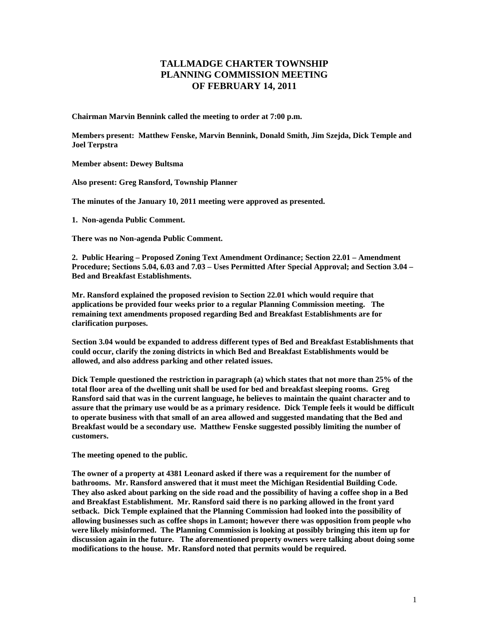## **TALLMADGE CHARTER TOWNSHIP PLANNING COMMISSION MEETING OF FEBRUARY 14, 2011**

**Chairman Marvin Bennink called the meeting to order at 7:00 p.m.** 

**Members present: Matthew Fenske, Marvin Bennink, Donald Smith, Jim Szejda, Dick Temple and Joel Terpstra** 

**Member absent: Dewey Bultsma** 

**Also present: Greg Ransford, Township Planner** 

**The minutes of the January 10, 2011 meeting were approved as presented.** 

**1. Non-agenda Public Comment.** 

**There was no Non-agenda Public Comment.** 

**2. Public Hearing – Proposed Zoning Text Amendment Ordinance; Section 22.01 – Amendment Procedure; Sections 5.04, 6.03 and 7.03 – Uses Permitted After Special Approval; and Section 3.04 – Bed and Breakfast Establishments.** 

**Mr. Ransford explained the proposed revision to Section 22.01 which would require that applications be provided four weeks prior to a regular Planning Commission meeting. The remaining text amendments proposed regarding Bed and Breakfast Establishments are for clarification purposes.** 

**Section 3.04 would be expanded to address different types of Bed and Breakfast Establishments that could occur, clarify the zoning districts in which Bed and Breakfast Establishments would be allowed, and also address parking and other related issues.** 

**Dick Temple questioned the restriction in paragraph (a) which states that not more than 25% of the total floor area of the dwelling unit shall be used for bed and breakfast sleeping rooms. Greg Ransford said that was in the current language, he believes to maintain the quaint character and to assure that the primary use would be as a primary residence. Dick Temple feels it would be difficult to operate business with that small of an area allowed and suggested mandating that the Bed and Breakfast would be a secondary use. Matthew Fenske suggested possibly limiting the number of customers.** 

**The meeting opened to the public.** 

**The owner of a property at 4381 Leonard asked if there was a requirement for the number of bathrooms. Mr. Ransford answered that it must meet the Michigan Residential Building Code. They also asked about parking on the side road and the possibility of having a coffee shop in a Bed and Breakfast Establishment. Mr. Ransford said there is no parking allowed in the front yard setback. Dick Temple explained that the Planning Commission had looked into the possibility of allowing businesses such as coffee shops in Lamont; however there was opposition from people who were likely misinformed. The Planning Commission is looking at possibly bringing this item up for discussion again in the future. The aforementioned property owners were talking about doing some modifications to the house. Mr. Ransford noted that permits would be required.**